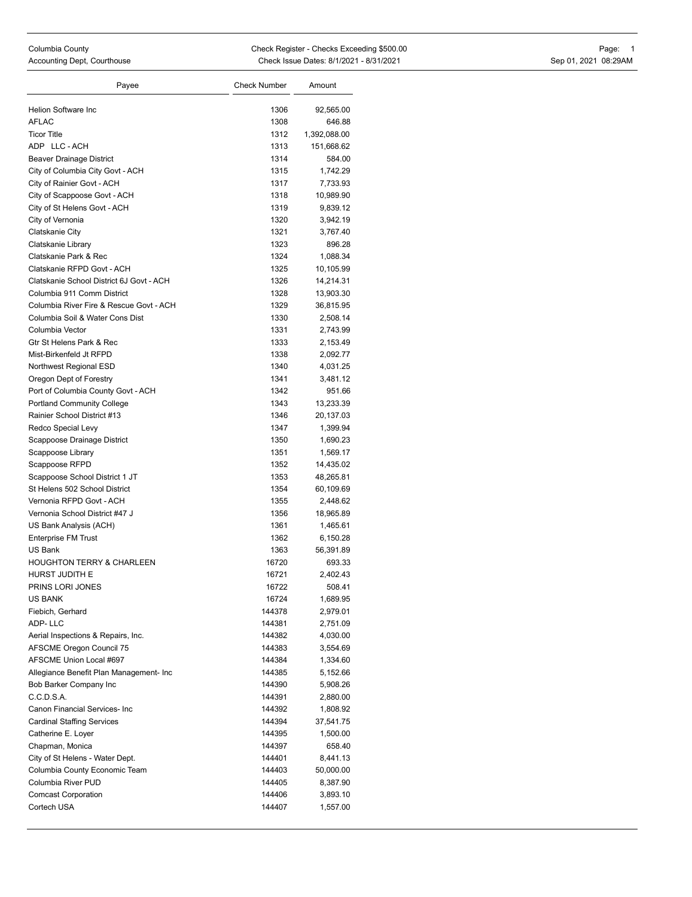| Payee                                    | <b>Check Number</b> | Amount                |
|------------------------------------------|---------------------|-----------------------|
|                                          |                     |                       |
| Helion Software Inc                      | 1306                | 92,565.00             |
| AFLAC<br><b>Ticor Title</b>              | 1308<br>1312        | 646.88                |
| ADP LLC-ACH                              |                     | 1,392,088.00          |
| <b>Beaver Drainage District</b>          | 1313                | 151,668.62            |
|                                          | 1314                | 584.00                |
| City of Columbia City Govt - ACH         | 1315                | 1,742.29              |
| City of Rainier Govt - ACH               | 1317<br>1318        | 7,733.93<br>10,989.90 |
| City of Scappoose Govt - ACH             | 1319                |                       |
| City of St Helens Govt - ACH             | 1320                | 9,839.12              |
| City of Vernonia<br>Clatskanie City      | 1321                | 3,942.19<br>3,767.40  |
| Clatskanie Library                       | 1323                | 896.28                |
| Clatskanie Park & Rec                    | 1324                | 1,088.34              |
| Clatskanie RFPD Govt - ACH               | 1325                | 10,105.99             |
| Clatskanie School District 6J Govt - ACH | 1326                | 14,214.31             |
| Columbia 911 Comm District               | 1328                | 13,903.30             |
| Columbia River Fire & Rescue Govt - ACH  | 1329                | 36,815.95             |
| Columbia Soil & Water Cons Dist          | 1330                | 2,508.14              |
| Columbia Vector                          | 1331                | 2,743.99              |
| Gtr St Helens Park & Rec                 | 1333                | 2,153.49              |
| Mist-Birkenfeld Jt RFPD                  | 1338                | 2,092.77              |
| Northwest Regional ESD                   | 1340                | 4,031.25              |
| Oregon Dept of Forestry                  | 1341                | 3,481.12              |
| Port of Columbia County Govt - ACH       | 1342                | 951.66                |
| <b>Portland Community College</b>        | 1343                | 13,233.39             |
| Rainier School District #13              | 1346                | 20,137.03             |
| Redco Special Levy                       | 1347                | 1,399.94              |
| Scappoose Drainage District              | 1350                | 1,690.23              |
| Scappoose Library                        | 1351                | 1,569.17              |
| Scappoose RFPD                           | 1352                | 14,435.02             |
| Scappoose School District 1 JT           | 1353                | 48,265.81             |
| St Helens 502 School District            | 1354                | 60,109.69             |
| Vernonia RFPD Govt - ACH                 | 1355                | 2,448.62              |
| Vernonia School District #47 J           | 1356                | 18,965.89             |
| US Bank Analysis (ACH)                   | 1361                | 1,465.61              |
| <b>Enterprise FM Trust</b>               | 1362                | 6,150.28              |
| US Bank                                  | 1363                | 56,391.89             |
| <b>HOUGHTON TERRY &amp; CHARLEEN</b>     | 16720               | 693.33                |
| HURST JUDITH E                           | 16721               | 2,402.43              |
| PRINS LORI JONES                         | 16722               | 508.41                |
| US BANK                                  | 16724               | 1,689.95              |
| Fiebich, Gerhard                         | 144378              | 2,979.01              |
| ADP-LLC                                  | 144381              | 2,751.09              |
| Aerial Inspections & Repairs, Inc.       | 144382              | 4,030.00              |
| AFSCME Oregon Council 75                 | 144383              | 3,554.69              |
| AFSCME Union Local #697                  | 144384              | 1,334.60              |
| Allegiance Benefit Plan Management- Inc  | 144385              | 5,152.66              |
| Bob Barker Company Inc                   | 144390              | 5,908.26              |
| C.C.D.S.A.                               | 144391              | 2,880.00              |
| Canon Financial Services- Inc            | 144392              | 1,808.92              |
| <b>Cardinal Staffing Services</b>        | 144394              | 37,541.75             |
| Catherine E. Loyer                       | 144395              | 1,500.00              |
| Chapman, Monica                          | 144397              | 658.40                |
| City of St Helens - Water Dept.          | 144401              | 8,441.13              |
| Columbia County Economic Team            | 144403              | 50,000.00             |
| Columbia River PUD                       | 144405              | 8,387.90              |
| <b>Comcast Corporation</b>               | 144406              | 3,893.10              |
| Cortech USA                              | 144407              | 1,557.00              |
|                                          |                     |                       |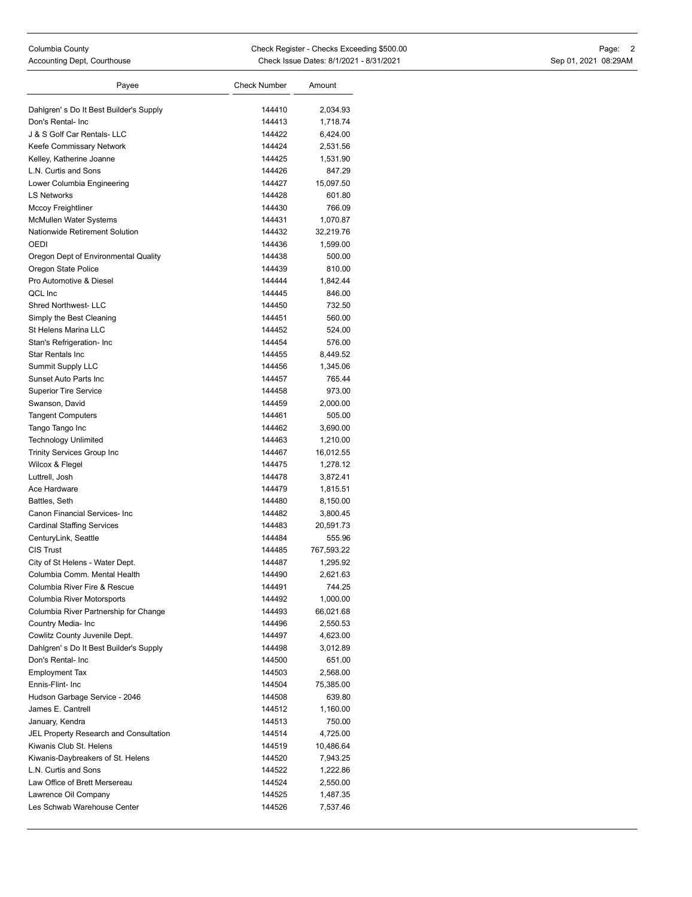| Columbia County                           |
|-------------------------------------------|
| $\sim$ $\sim$ $\sim$ $\sim$ $\sim$ $\sim$ |

| Payee                                                | <b>Check Number</b> | Amount                |
|------------------------------------------------------|---------------------|-----------------------|
|                                                      |                     |                       |
| Dahlgren's Do It Best Builder's Supply               | 144410<br>144413    | 2,034.93              |
| Don's Rental- Inc<br>J & S Golf Car Rentals- LLC     | 144422              | 1,718.74              |
|                                                      | 144424              | 6,424.00<br>2,531.56  |
| Keefe Commissary Network<br>Kelley, Katherine Joanne | 144425              |                       |
| L.N. Curtis and Sons                                 | 144426              | 1,531.90<br>847.29    |
| Lower Columbia Engineering                           | 144427              | 15,097.50             |
| <b>LS Networks</b>                                   | 144428              | 601.80                |
| Mccoy Freightliner                                   | 144430              | 766.09                |
| McMullen Water Systems                               | 144431              | 1,070.87              |
| Nationwide Retirement Solution                       | 144432              | 32,219.76             |
| OEDI                                                 | 144436              | 1,599.00              |
| Oregon Dept of Environmental Quality                 | 144438              | 500.00                |
| Oregon State Police                                  | 144439              | 810.00                |
| Pro Automotive & Diesel                              | 144444              | 1,842.44              |
| QCL Inc                                              | 144445              | 846.00                |
| <b>Shred Northwest- LLC</b>                          | 144450              | 732.50                |
| Simply the Best Cleaning                             | 144451              | 560.00                |
| St Helens Marina LLC                                 | 144452              | 524.00                |
| Stan's Refrigeration- Inc                            | 144454              | 576.00                |
| <b>Star Rentals Inc</b>                              | 144455              | 8,449.52              |
| <b>Summit Supply LLC</b>                             | 144456              | 1,345.06              |
| Sunset Auto Parts Inc                                | 144457              | 765.44                |
| <b>Superior Tire Service</b>                         | 144458              | 973.00                |
| Swanson, David                                       | 144459              | 2,000.00              |
| <b>Tangent Computers</b>                             | 144461              | 505.00                |
| Tango Tango Inc                                      | 144462              | 3,690.00              |
| <b>Technology Unlimited</b>                          | 144463              | 1,210.00              |
| Trinity Services Group Inc                           | 144467              | 16,012.55             |
| Wilcox & Flegel                                      | 144475              | 1,278.12              |
| Luttrell, Josh                                       | 144478              | 3,872.41              |
| Ace Hardware                                         | 144479              | 1,815.51              |
| Battles, Seth                                        | 144480              | 8,150.00              |
| Canon Financial Services- Inc                        | 144482              | 3,800.45              |
| <b>Cardinal Staffing Services</b>                    | 144483              | 20,591.73             |
| CenturyLink, Seattle                                 | 144484              | 555.96                |
| <b>CIS Trust</b>                                     | 144485              | 767,593.22            |
| City of St Helens - Water Dept.                      | 144487              | 1,295.92              |
| Columbia Comm. Mental Health                         | 144490              | 2,621.63              |
| Columbia River Fire & Rescue                         | 144491              | 744.25                |
| Columbia River Motorsports                           | 144492              | 1,000.00              |
| Columbia River Partnership for Change                | 144493              | 66,021.68             |
| Country Media- Inc                                   | 144496              | 2,550.53              |
| Cowlitz County Juvenile Dept.                        | 144497              | 4,623.00              |
| Dahlgren's Do It Best Builder's Supply               | 144498              | 3,012.89              |
| Don's Rental- Inc                                    | 144500              | 651.00                |
| <b>Employment Tax</b><br>Ennis-Flint- Inc            | 144503<br>144504    | 2,568.00<br>75,385.00 |
| Hudson Garbage Service - 2046                        | 144508              | 639.80                |
| James E. Cantrell                                    | 144512              | 1,160.00              |
| January, Kendra                                      | 144513              | 750.00                |
| JEL Property Research and Consultation               | 144514              | 4,725.00              |
| Kiwanis Club St. Helens                              | 144519              | 10,486.64             |
| Kiwanis-Daybreakers of St. Helens                    | 144520              | 7,943.25              |
| L.N. Curtis and Sons                                 | 144522              | 1,222.86              |
| Law Office of Brett Mersereau                        | 144524              | 2,550.00              |
| Lawrence Oil Company                                 | 144525              | 1,487.35              |
| Les Schwab Warehouse Center                          | 144526              | 7,537.46              |
|                                                      |                     |                       |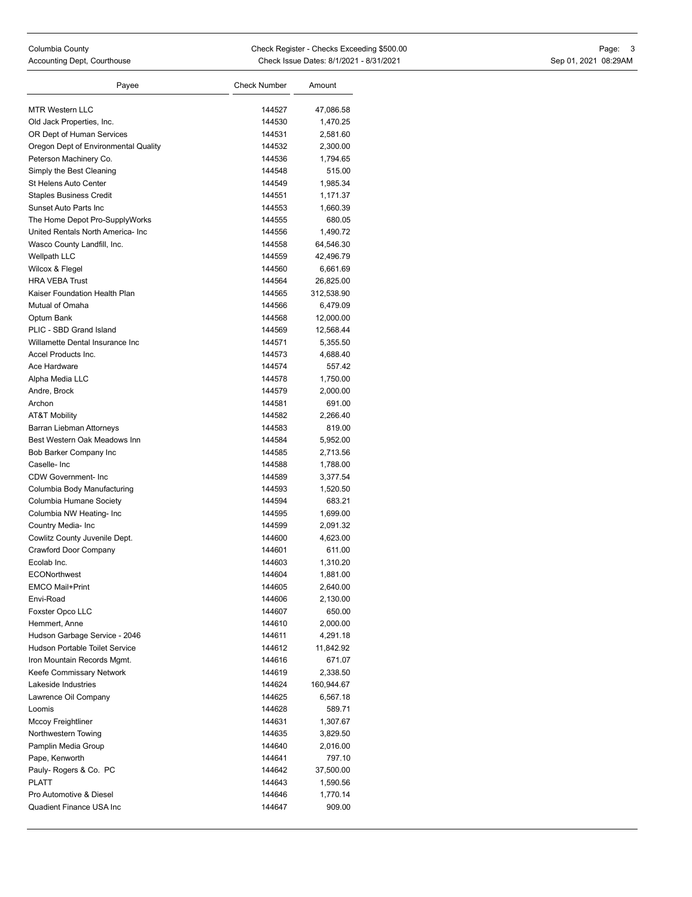| Payee                                | <b>Check Number</b> | Amount     |
|--------------------------------------|---------------------|------------|
|                                      |                     |            |
| MTR Western LLC                      | 144527              | 47,086.58  |
| Old Jack Properties, Inc.            | 144530              | 1,470.25   |
| OR Dept of Human Services            | 144531              | 2,581.60   |
| Oregon Dept of Environmental Quality | 144532              | 2,300.00   |
| Peterson Machinery Co.               | 144536              | 1,794.65   |
| Simply the Best Cleaning             | 144548              | 515.00     |
| St Helens Auto Center                | 144549              | 1,985.34   |
| <b>Staples Business Credit</b>       | 144551              | 1,171.37   |
| Sunset Auto Parts Inc                | 144553              | 1,660.39   |
| The Home Depot Pro-SupplyWorks       | 144555              | 680.05     |
| United Rentals North America- Inc    | 144556              | 1,490.72   |
| Wasco County Landfill, Inc.          | 144558              | 64,546.30  |
| <b>Wellpath LLC</b>                  | 144559              | 42,496.79  |
| Wilcox & Flegel                      | 144560              | 6,661.69   |
| <b>HRA VEBA Trust</b>                | 144564              | 26,825.00  |
| Kaiser Foundation Health Plan        | 144565              | 312,538.90 |
| Mutual of Omaha                      | 144566              | 6,479.09   |
| Optum Bank                           | 144568              | 12,000.00  |
| PLIC - SBD Grand Island              | 144569              | 12,568.44  |
| Willamette Dental Insurance Inc      | 144571              | 5,355.50   |
| Accel Products Inc.                  | 144573              | 4,688.40   |
| Ace Hardware                         | 144574              | 557.42     |
| Alpha Media LLC                      | 144578              | 1,750.00   |
| Andre, Brock                         | 144579              | 2,000.00   |
| Archon                               | 144581              | 691.00     |
| <b>AT&amp;T Mobility</b>             | 144582              | 2,266.40   |
| Barran Liebman Attorneys             | 144583              | 819.00     |
| Best Western Oak Meadows Inn         | 144584              | 5,952.00   |
| Bob Barker Company Inc               | 144585              | 2,713.56   |
| Caselle-Inc                          | 144588              | 1,788.00   |
| <b>CDW Government-Inc</b>            | 144589              | 3,377.54   |
| Columbia Body Manufacturing          | 144593              | 1,520.50   |
| Columbia Humane Society              | 144594              | 683.21     |
| Columbia NW Heating- Inc             | 144595              | 1,699.00   |
| Country Media- Inc                   | 144599              | 2,091.32   |
| Cowlitz County Juvenile Dept.        | 144600              | 4,623.00   |
| Crawford Door Company                | 144601              | 611.00     |
| Ecolab Inc.                          | 144603              | 1,310.20   |
| <b>ECONorthwest</b>                  | 144604              | 1,881.00   |
| <b>EMCO Mail+Print</b>               | 144605              | 2,640.00   |
| Envi-Road                            | 144606              | 2,130.00   |
| Foxster Opco LLC                     | 144607              | 650.00     |
| Hemmert, Anne                        | 144610              | 2,000.00   |
| Hudson Garbage Service - 2046        | 144611              | 4,291.18   |
| Hudson Portable Toilet Service       | 144612              | 11,842.92  |
| Iron Mountain Records Mgmt.          | 144616              | 671.07     |
| Keefe Commissary Network             | 144619              | 2,338.50   |
| Lakeside Industries                  | 144624              | 160,944.67 |
| Lawrence Oil Company                 | 144625              | 6,567.18   |
| Loomis                               | 144628              | 589.71     |
| Mccoy Freightliner                   | 144631              | 1,307.67   |
| Northwestern Towing                  | 144635              | 3,829.50   |
| Pamplin Media Group                  | 144640              | 2,016.00   |
| Pape, Kenworth                       | 144641              | 797.10     |
| Pauly- Rogers & Co. PC               | 144642              | 37,500.00  |
| <b>PLATT</b>                         | 144643              | 1,590.56   |
| Pro Automotive & Diesel              | 144646              | 1,770.14   |
| Quadient Finance USA Inc             | 144647              | 909.00     |
|                                      |                     |            |